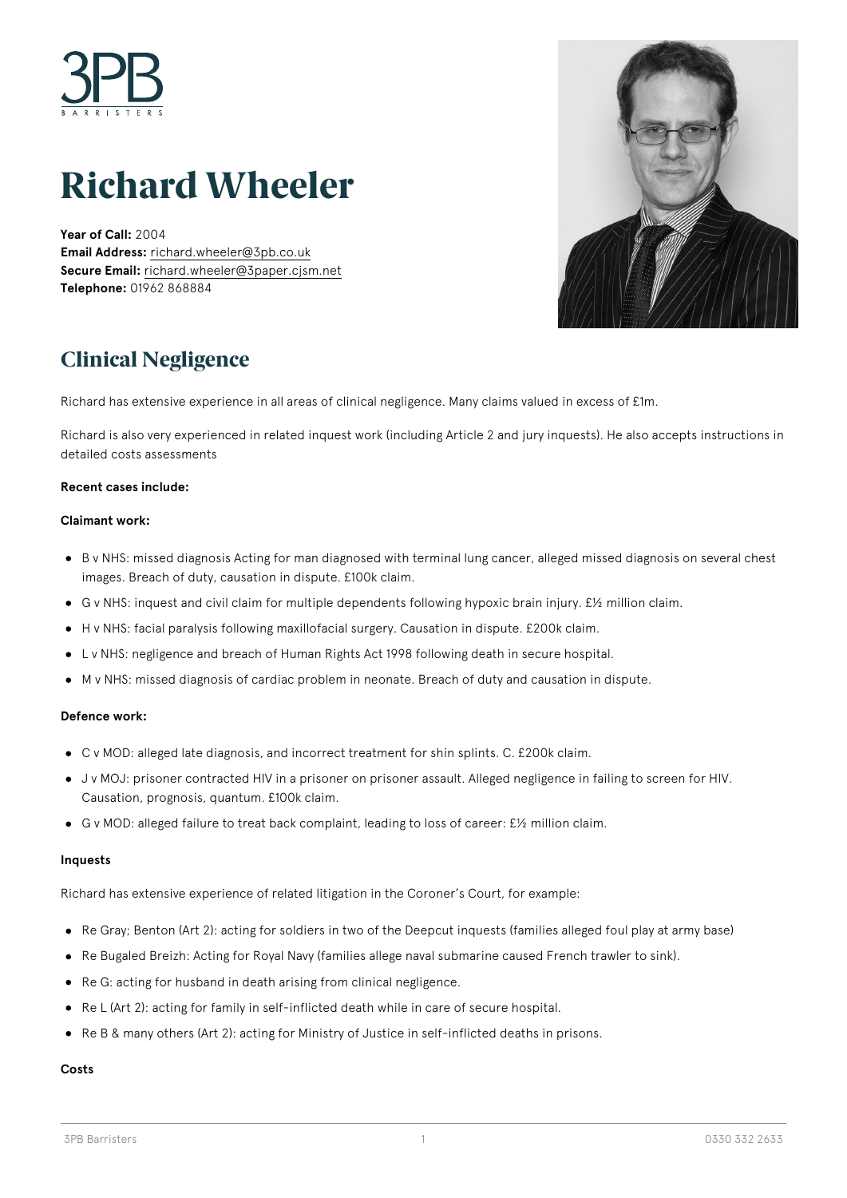

# **Richard Wheeler**

**Year of Call:** 2004 **Email Address:** [richard.wheeler@3pb.co.uk](mailto:richard.wheeler@3pb.co.uk) **Secure Email:** [richard.wheeler@3paper.cjsm.net](mailto:richard.wheeler@3paper.cjsm.net) **Telephone:** 01962 868884



### **Clinical Negligence**

Richard has extensive experience in all areas of clinical negligence. Many claims valued in excess of £1m.

Richard is also very experienced in related inquest work (including Article 2 and jury inquests). He also accepts instructions in detailed costs assessments

### **Recent cases include:**

### **Claimant work:**

- B v NHS: missed diagnosis Acting for man diagnosed with terminal lung cancer, alleged missed diagnosis on several chest images. Breach of duty, causation in dispute. £100k claim.
- G v NHS: inquest and civil claim for multiple dependents following hypoxic brain injury. £½ million claim.
- H v NHS: facial paralysis following maxillofacial surgery. Causation in dispute. £200k claim.
- L v NHS: negligence and breach of Human Rights Act 1998 following death in secure hospital.  $\bullet$
- M v NHS: missed diagnosis of cardiac problem in neonate. Breach of duty and causation in dispute.

#### **Defence work:**

- C v MOD: alleged late diagnosis, and incorrect treatment for shin splints. C. £200k claim.
- J v MOJ: prisoner contracted HIV in a prisoner on prisoner assault. Alleged negligence in failing to screen for HIV. Causation, prognosis, quantum. £100k claim.
- G v MOD: alleged failure to treat back complaint, leading to loss of career: £½ million claim.

#### **Inquests**

Richard has extensive experience of related litigation in the Coroner's Court, for example:

- Re Gray; Benton (Art 2): acting for soldiers in two of the Deepcut inquests (families alleged foul play at army base)
- Re Bugaled Breizh: Acting for Royal Navy (families allege naval submarine caused French trawler to sink).
- Re G: acting for husband in death arising from clinical negligence.
- Re L (Art 2): acting for family in self-inflicted death while in care of secure hospital.
- Re B & many others (Art 2): acting for Ministry of Justice in self-inflicted deaths in prisons.

#### **Costs**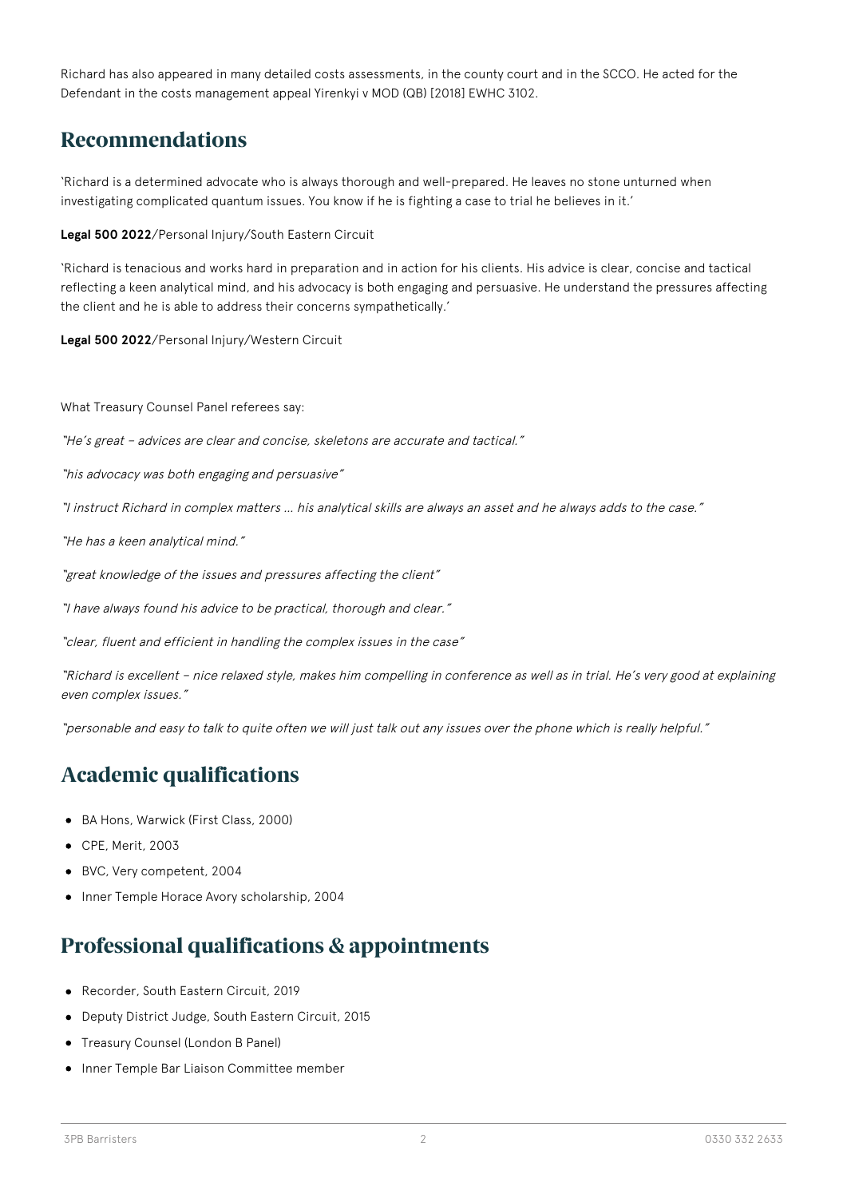Richard has also appeared in many detailed costs assessments, in the county court and in the SCCO. He acted for the Defendant in the costs management appeal Yirenkyi v MOD (QB) [2018] EWHC 3102.

### **Recommendations**

'Richard is a determined advocate who is always thorough and well-prepared. He leaves no stone unturned when investigating complicated quantum issues. You know if he is fighting a case to trial he believes in it.'

**Legal 500 2022**/Personal Injury/South Eastern Circuit

'Richard is tenacious and works hard in preparation and in action for his clients. His advice is clear, concise and tactical reflecting a keen analytical mind, and his advocacy is both engaging and persuasive. He understand the pressures affecting the client and he is able to address their concerns sympathetically.'

**Legal 500 2022**/Personal Injury/Western Circuit

What Treasury Counsel Panel referees say:

"He's great – advices are clear and concise, skeletons are accurate and tactical."

"his advocacy was both engaging and persuasive"

"I instruct Richard in complex matters … his analytical skills are always an asset and he always adds to the case."

"He has a keen analytical mind."

"great knowledge of the issues and pressures affecting the client"

"I have always found his advice to be practical, thorough and clear."

"clear, fluent and efficient in handling the complex issues in the case"

"Richard is excellent – nice relaxed style, makes him compelling in conference as well as in trial. He's very good at explaining even complex issues."

"personable and easy to talk to quite often we will just talk out any issues over the phone which is really helpful."

## **Academic qualifications**

- BA Hons, Warwick (First Class, 2000)
- CPE, Merit, 2003
- BVC, Very competent, 2004
- Inner Temple Horace Avory scholarship, 2004  $\bullet$

### **Professional qualifications & appointments**

- Recorder, South Eastern Circuit, 2019
- Deputy District Judge, South Eastern Circuit, 2015
- Treasury Counsel (London B Panel)
- Inner Temple Bar Liaison Committee member